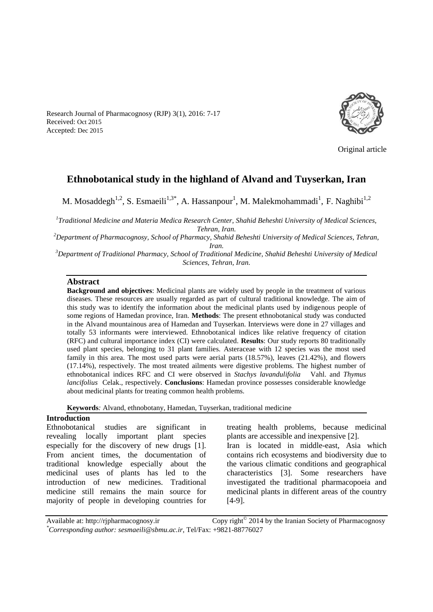Research Journal of Pharmacognosy (RJP) 3(1), 2016: 7-17 Received: Oct 2015 Accepted: Dec 2015



Original article

# **Ethnobotanical study in the highland of Alvand and Tuyserkan, Iran**

M. Mosaddegh<sup>1,2</sup>, S. Esmaeili<sup>1,3\*</sup>, A. Hassanpour<sup>1</sup>, M. Malekmohammadi<sup>1</sup>, F. Naghibi<sup>1,2</sup>

*1 Traditional Medicine and Materia Medica Research Center, Shahid Beheshti University of Medical Sciences, Tehran, Iran.*

*<sup>2</sup>Department of Pharmacognosy, School of Pharmacy, Shahid Beheshti University of Medical Sciences, Tehran, Iran.*

*<sup>3</sup>Department of Traditional Pharmacy, School of Traditional Medicine, Shahid Beheshti University of Medical Sciences, Tehran, Iran.*

## **Abstract**

**Background and objectives**: Medicinal plants are widely used by people in the treatment of various diseases. These resources are usually regarded as part of cultural traditional knowledge. The aim of this study was to identify the information about the medicinal plants used by indigenous people of some regions of Hamedan province, Iran. **Methods**: The present ethnobotanical study was conducted in the Alvand mountainous area of Hamedan and Tuyserkan. Interviews were done in 27 villages and totally 53 informants were interviewed. Ethnobotanical indices like relative frequency of citation (RFC) and cultural importance index (CI) were calculated. **Results**: Our study reports 80 traditionally used plant species, belonging to 31 plant families. Asteraceae with 12 species was the most used family in this area. The most used parts were aerial parts (18.57%), leaves (21.42%), and flowers (17.14%), respectively. The most treated ailments were digestive problems. The highest number of ethnobotanical indices RFC and CI were observed in *Stachys lavandulifolia* Vahl. and *Thymus lancifolius* Celak., respectively. **Conclusions**: Hamedan province possesses considerable knowledge about medicinal plants for treating common health problems.

**Keywords***:* Alvand, ethnobotany, Hamedan, Tuyserkan, traditional medicine

### **Introduction**

Ethnobotanical studies are significant in revealing locally important plant species especially for the discovery of new drugs [1]. From ancient times, the documentation of traditional knowledge especially about the medicinal uses of plants has led to the introduction of new medicines. Traditional medicine still remains the main source for majority of people in developing countries for treating health problems, because medicinal plants are accessible and inexpensive [2]. Iran is located in middle-east, Asia which contains rich ecosystems and biodiversity due to the various climatic conditions and geographical

characteristics [3]. Some researchers have investigated the traditional pharmacopoeia and medicinal plants in different areas of the country [4-9].

Available at: http://rjpharmacognosy.ir Copy right $^{\circ}$  2014 by the Iranian Society of Pharmacognosy *\*Corresponding author: sesmaeili@sbmu.ac.ir,* Tel/Fax: +9821-88776027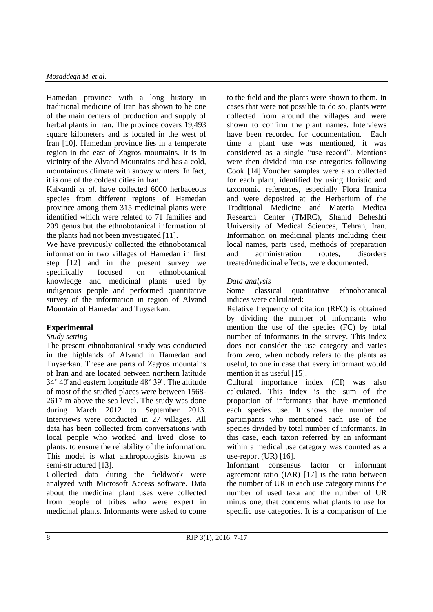Hamedan province with a long history in traditional medicine of Iran has shown to be one of the main centers of production and supply of herbal plants in Iran. The province covers 19,493 square kilometers and is located in the west of Iran [10]. Hamedan province lies in a temperate region in the east of Zagros mountains. It is in vicinity of the Alvand Mountains and has a cold, mountainous climate with snowy winters. In fact, it is one of the coldest cities in Iran.

Kalvandi *et al*. have collected 6000 herbaceous species from different regions of Hamedan province among them 315 medicinal plants were identified which were related to 71 families and 209 genus but the ethnobotanical information of the plants had not been investigated [11].

We have previously collected the ethnobotanical information in two villages of Hamedan in first step [12] and in the present survey we specifically focused on ethnobotanical knowledge and medicinal plants used by indigenous people and performed quantitative survey of the information in region of Alvand Mountain of Hamedan and Tuyserkan.

# **Experimental**

# *Study setting*

The present ethnobotanical study was conducted in the highlands of Alvand in Hamedan and Tuyserkan. These are parts of Zagros mountains of Iran and are located between northern  $34^{\circ}$  40' and eastern longitude  $48^{\circ}$  39'. The altitude of most of the studied places were between 1568- 2617 m above the sea level. The study was done during March 2012 to September 2013. Interviews were conducted in 27 villages. All data has been collected from conversations with local people who worked and lived close to plants, to ensure the reliability of the information. This model is what anthropologists known as semi-structured [13].

Collected data during the fieldwork were analyzed with Microsoft Access software. Data about the medicinal plant uses were collected from people of tribes who were expert in medicinal plants. Informants were asked to come to the field and the plants were shown to them. In cases that were not possible to do so, plants were collected from around the villages and were shown to confirm the plant names. Interviews have been recorded for documentation. Each time a plant use was mentioned, it was considered as a single "use record". Mentions were then divided into use categories following Cook [14].Voucher samples were also collected for each plant, identified by using floristic and taxonomic references, especially Flora Iranica and were deposited at the Herbarium of the Traditional Medicine and Materia Medica Research Center (TMRC), Shahid Beheshti University of Medical Sciences, Tehran, Iran. Information on medicinal plants including their local names, parts used, methods of preparation and administration routes, disorders treated/medicinal effects, were documented.

# *Data analysis*

Some classical quantitative ethnobotanical indices were calculated:

Relative frequency of citation (RFC) is obtained by dividing the number of informants who mention the use of the species (FC) by total number of informants in the survey. This index does not consider the use category and varies from zero, when nobody refers to the plants as useful, to one in case that every informant would mention it as useful [15].

Cultural importance index (CI) was also calculated. This index is the sum of the proportion of informants that have mentioned each species use. It shows the number of participants who mentioned each use of the species divided by total number of informants. In this case, each taxon referred by an informant within a medical use category was counted as a use-report  $(UR)$  [16].

Informant consensus factor or informant agreement ratio (IAR) [17] is the ratio between the number of UR in each use category minus the number of used taxa and the number of UR minus one, that concerns what plants to use for specific use categories. It is a comparison of the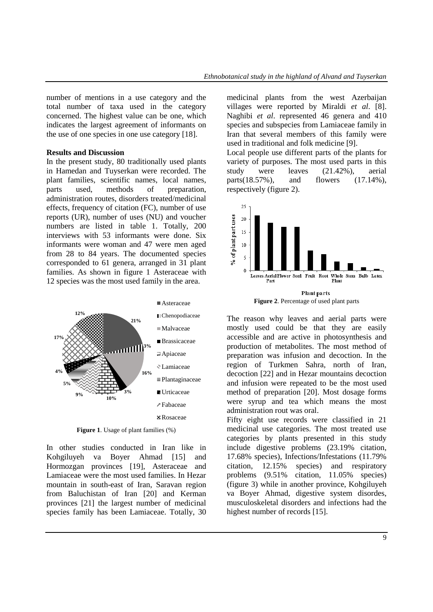number of mentions in a use category and the total number of taxa used in the category concerned. The highest value can be one, which indicates the largest agreement of informants on the use of one species in one use category [18].

#### **Results and Discussion**

In the present study, 80 traditionally used plants in Hamedan and Tuyserkan were recorded. The plant families, scientific names, local names, parts used, methods of preparation, administration routes, disorders treated/medicinal effects, frequency of citation (FC), number of use reports (UR), number of uses (NU) and voucher numbers are listed in table 1. Totally, 200 interviews with 53 informants were done. Six informants were woman and 47 were men aged from 28 to 84 years. The documented species corresponded to 61 genera, arranged in 31 plant families. As shown in figure 1 Asteraceae with 12 species was the most used family in the area.



**Figure 1**. Usage of plant families (%)

In other studies conducted in Iran like in Kohgiluyeh va Boyer Ahmad [15] and Hormozgan provinces [19], Asteraceae and Lamiaceae were the most used families. In Hezar mountain in south-east of Iran, Saravan region from Baluchistan of Iran [20] and Kerman provinces [21] the largest number of medicinal species family has been Lamiaceae. Totally, 30 medicinal plants from the west Azerbaijan villages were reported by Miraldi *et al*. [8]. Naghibi *et al*. represented 46 genera and 410 species and subspecies from Lamiaceae family in Iran that several members of this family were used in traditional and folk medicine [9].

Local people use different parts of the plants for variety of purposes. The most used parts in this study were leaves (21.42%), aerial parts(18.57%), and flowers (17.14%), respectively (figure 2).



The reason why leaves and aerial parts were mostly used could be that they are easily accessible and are active in photosynthesis and production of metabolites. The most method of preparation was infusion and decoction. In the region of Turkmen Sahra, north of Iran, decoction [22] and in Hezar mountains decoction and infusion were repeated to be the most used method of preparation [20]. Most dosage forms were syrup and tea which means the most administration rout was oral.

Fifty eight use records were classified in 21 medicinal use categories. The most treated use categories by plants presented in this study include digestive problems (23.19% citation, 17.68% species), Infections/Infestations (11.79% citation, 12.15% species) and respiratory problems (9.51% citation, 11.05% species) (figure 3) while in another province, Kohgiluyeh va Boyer Ahmad, digestive system disordes, musculoskeletal disorders and infections had the highest number of records [15].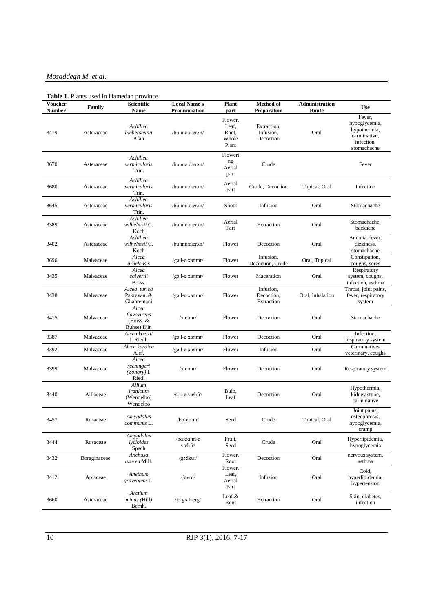# *Mosaddegh M. et al.*

|  |  | Table 1. Plants used in Hamedan province |  |
|--|--|------------------------------------------|--|
|  |  |                                          |  |

| <b>Voucher</b><br><b>Number</b> | Family       | Scientific<br>Name                                  | <b>Local Name's</b><br>Pronunciation | Plant<br>part                               | Method of<br><b>Preparation</b>       | Administration<br>Route | <b>Use</b>                                                                           |
|---------------------------------|--------------|-----------------------------------------------------|--------------------------------------|---------------------------------------------|---------------------------------------|-------------------------|--------------------------------------------------------------------------------------|
| 3419                            | Asteraceae   | Achillea<br>biebersteinii<br>Afan                   | /bu:ma:dær^n/                        | Flower,<br>Leaf,<br>Root,<br>Whole<br>Plant | Extraction,<br>Infusion,<br>Decoction | Oral                    | Fever,<br>hypoglycemia,<br>hypothermia,<br>carminative,<br>infection,<br>stomachache |
| 3670                            | Asteraceae   | Achillea<br>vermicularis<br>Trin.                   | /bu:ma:dær^n/                        | Floweri<br>ng<br>Aerial<br>part             | Crude                                 |                         | Fever                                                                                |
| 3680                            | Asteraceae   | Achillea<br>vermicularis<br>Trin.                   | /bu:ma:dær^n/                        | Aerial<br>Part                              | Crude, Decoction                      | Topical, Oral           | Infection                                                                            |
| 3645                            | Asteraceae   | Achillea<br>vermicularis<br>Trin.                   | /bu:ma:dær^n/                        | Shoot                                       | Infusion                              | Oral                    | Stomachache                                                                          |
| 3389                            | Asteraceae   | Achillea<br>wilhelmsii C.<br>Koch                   | /bu:ma:dær^n/                        | Aerial<br>Part                              | Extraction                            | Oral                    | Stomachache,<br>backache                                                             |
| 3402                            | Asteraceae   | Achillea<br>wilhelmsii C.<br>Koch                   | /bu:ma:dær^n/                        | Flower                                      | Decoction                             | Oral                    | Anemia, fever,<br>dizziness.<br>stomachache                                          |
| 3696                            | Malvaceae    | Alcea<br>arbelensis                                 | $/g$ 3:1-e xætmr/                    | Flower                                      | Infusion,<br>Decoction, Crude         | Oral, Topical           | Constipation,<br>coughs, sores                                                       |
| 3435                            | Malvaceae    | Alcea<br>calvertii<br>Boiss.                        | $/go:$ l-e xætmr $/$                 | Flower                                      | Maceration                            | Oral                    | Respiratory<br>system, coughs,<br>infection, asthma                                  |
| 3438                            | Malvaceae    | Alcea tarica<br>Pakravan. &<br>Ghahremani           | $/go:$ l-e xætmr $/$                 | Flower                                      | Infusion,<br>Decoction,<br>Extraction | Oral, Inhalation        | Throat, joint pains,<br>fever, respiratory<br>system                                 |
| 3415                            | Malvaceae    | Alcea<br>flavovirens<br>(Boiss. $&$<br>Buhse) Iljin | /xatmr/                              | Flower                                      | Decoction                             | Oral                    | Stomachache                                                                          |
| 3387                            | Malvaceae    | Alcea koelzii<br>I. Riedl.                          | $/g$ 3:1-e xætmr/                    | Flower                                      | Decoction                             | Oral                    | Infection,<br>respiratory system                                                     |
| 3392                            | Malvaceae    | Alcea kurdica<br>Alef.                              | $/g$ 3:1-e xætmr/                    | Flower                                      | Infusion                              | Oral                    | Carminative-<br>veterinary, coughs                                                   |
| 3399                            | Malvaceae    | Alcea<br>rechingeri<br>(Zohary) I.<br>Riedl         | /xætmr/                              | Flower                                      | Decoction                             | Oral                    | Respiratory system                                                                   |
| 3440                            | Alliaceae    | Allium<br>iranicum<br>(Wendelbo)<br>Wendelbo        | $\sin$ -e væh $\int r$ /             | Bulb,<br>Leaf                               | Decoction                             | Oral                    | Hypothermia,<br>kidney stone,<br>carminative                                         |
| 3457                            | Rosaceae     | Amygdalus<br>communis L.                            | /ba:da:m/                            | Seed                                        | Crude                                 | Topical, Oral           | Joint pains,<br>osteoporosis,<br>hypoglycemia,<br>cramp                              |
| 3444                            | Rosaceae     | Amygdalus<br>lycioides<br>Spach                     | /ba:da:m-e<br>væh fr/                | Fruit,<br>Seed                              | Crude                                 | Oral                    | Hyperlipidemia,<br>hypoglycemia                                                      |
| 3432                            | Boraginaceae | Anchusa<br>azurea Mill.                             | $/go:$ lku:/                         | Flower,<br>Root                             | Decoction                             | Oral                    | nervous system,<br>asthma                                                            |
| 3412                            | Apiaceae     | Anethum<br>graveolens L.                            | $/$ fevrd $/$                        | Flower,<br>Leaf,<br>Aerial<br>Part          | Infusion                              | Oral                    | Cold,<br>hyperlipidemia,<br>hypertension                                             |
| 3660                            | Asteraceae   | Arctium<br>minus (Hill)<br>Bernh.                   | /to:g^ bærg/                         | Leaf $\&$<br>Root                           | Extraction                            | Oral                    | Skin, diabetes,<br>infection                                                         |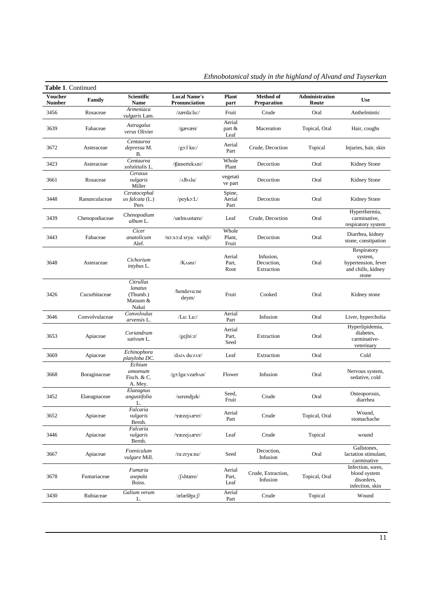| <b>Voucher</b><br><b>Number</b> | Family         | Scientific<br>Name                                    | <b>Local Name's</b><br>Pronunciation | <b>Plant</b><br>part        | Method of<br><b>Preparation</b>       | Administration<br>Route | <b>Use</b>                                                                   |
|---------------------------------|----------------|-------------------------------------------------------|--------------------------------------|-----------------------------|---------------------------------------|-------------------------|------------------------------------------------------------------------------|
| 3456                            | Rosaceae       | Armeniaca<br>vulgaris Lam.                            | /zærda:lu:/                          | Fruit                       | Crude                                 | Oral                    | Anthelmintic                                                                 |
| 3639                            | Fabaceae       | Astragalus<br>verus Olivier                           | /gavæn/                              | Aerial<br>part $\&$<br>Leaf | Maceration                            | Topical, Oral           | Hair, coughs                                                                 |
| 3672                            | Asteraceae     | Centaurea<br>depressa M.<br>В.                        | $/g$ 3:l ku:/                        | Aerial<br>Part              | Crude, Decoction                      | Topical                 | Injuries, hair, skin                                                         |
| 3423                            | Asteraceae     | Centaurea<br>solstitialis L.                          | /ffæsertekAnr/                       | Whole<br>Plant              | Decoction                             | Oral                    | Kidney Stone                                                                 |
| 3661                            | Rosaceae       | Cerasus<br>vulgaris<br>Miller                         | /Albalu/                             | vegetati<br>ve part         | Decoction                             | Oral                    | Kidney Stone                                                                 |
| 3448                            | Ranunculaceae  | Ceratocephal<br>$us$ falcata (L.)<br>Pers             | / $peyko: L/$                        | Spine,<br>Aerial<br>Part    | Decoction                             | Oral                    | Kidney Stone                                                                 |
| 3439                            | Chenopodiaceae | Chenopodium<br>album L.                               | /sælm^ntære/                         | Leaf                        | Crude, Decoction                      | Oral                    | Hyperthermia,<br>carminative,<br>respiratory system                          |
| 3443                            | Fabaceae       | Cicer<br>anatolicum<br>Alef.                          | /no:xo:d srya: væhfr/                | Whole<br>Plant,<br>Fruit    | Decoction                             | Oral                    | Diarrhea, kidney<br>stone, constipation                                      |
| 3648                            | Asteraceae     | Cichorium<br><i>intybus</i> L.                        | /Kasnr/                              | Aerial<br>Part,<br>Root     | Infusion.<br>Decoction,<br>Extraction | Oral                    | Respiratory<br>system,<br>hypertension, fever<br>and chills, kidney<br>stone |
| 3426                            | Cucurbitaceae  | Citrullus<br>lanatus<br>(Thumb.)<br>Matsum &<br>Nakai | /hendeva:ne<br>$d$ eym $/$           | Fruit                       | Cooked                                | Oral                    | Kidney stone                                                                 |
| 3646                            | Convolvulaceae | Convolvulus<br>arvensis L.                            | /Lu: Lu:/                            | Aerial<br>Part              | Infusion                              | Oral                    | Liver, hypercholia                                                           |
| 3653                            | Apiaceae       | Coriandrum<br>sativum L.                              | /gefni:z/                            | Aerial<br>Part.<br>Seed     | Extraction                            | Oral                    | Hyperlipidemia,<br>diabetes.<br>carminative-<br>veterinary                   |
| 3669                            | Apiaceae       | Echinophora<br>platyloba DC.                          | /data du:rax/                        | Leaf                        | Extraction                            | Oral                    | Cold                                                                         |
| 3668                            | Boraginaceae   | Echium<br>amoenum<br>Fisch. & C.<br>A. Mey.           | /go:lga:vzæb^n/                      | Flower                      | Infusion                              | Oral                    | Nervous system,<br>sedative, cold                                            |
| 3452                            | Elaeagnaceae   | Elaeagnus<br>angustifolia<br>L.                       | /serendzek/                          | Seed,<br>Fruit              | Crude                                 | Oral                    | Osteoporosis,<br>diarrhea                                                    |
| 3652                            | Apiaceae       | Falcaria<br>vulgaris<br>Bernh.                        | /xæzej^æxr/                          | Aerial<br>Part              | Crude                                 | Topical, Oral           | Wound,<br>stomachache                                                        |
| 3446                            | Apiaceae       | Falcaria<br>vulgaris<br>Bernh.                        | /xæzej^æxr/                          | Leaf                        | Crude                                 | Topical                 | wound                                                                        |
| 3667                            | Apiaceae       | Foeniculum<br><i>vulgare</i> Mill.                    | /ra:zrya:ne/                         | Seed                        | Decoction,<br>Infusion                | Oral                    | Gallstones,<br>lactation stimulant,<br>carminative                           |
| 3678                            | Fumariaceae    | Fumaria<br>asepala<br>Boiss.                          | /f^htære/                            | Aerial<br>Part,<br>Leaf     | Crude, Extraction,<br>Infusion        | Topical, Oral           | Infection, sores,<br>blood system<br>disorders,<br>infection, skin           |
| 3430                            | Rubiaceae      | Galium verum                                          | /ælæfdʒu:f/                          | Aerial<br>Part              | Crude                                 | Topical                 | Wound                                                                        |

*Ethnobotanical study in the highland of Alvand and Tuyserkan*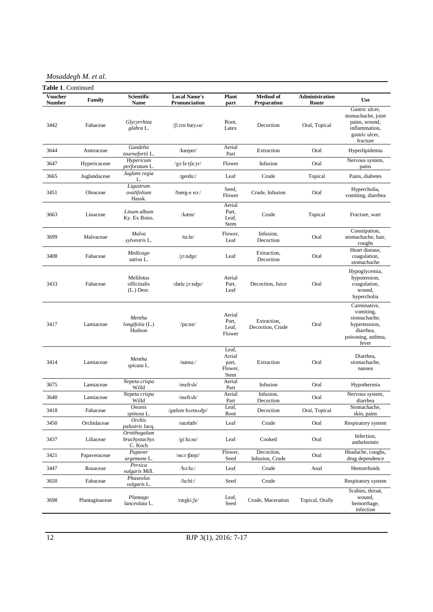*Mosaddegh M. et al.*

| <b>Voucher</b> | Family         | Scientific                               | <b>Local Name's</b>            | <b>Plant</b>                                | <b>Method</b> of                | Administration  | <b>Use</b>                                                                                             |
|----------------|----------------|------------------------------------------|--------------------------------|---------------------------------------------|---------------------------------|-----------------|--------------------------------------------------------------------------------------------------------|
| <b>Number</b>  |                | Name                                     | Pronunciation                  | part                                        | <b>Preparation</b>              | Route           |                                                                                                        |
| 3442           | Fabaceae       | Glycyrrhiza<br>glabra L.                 | $\int$ [i:rrn bæy $\Delta n$ ] | Root,<br>Latex                              | Decoction                       | Oral, Topical   | Gastric ulcer,<br>stomachache, joint<br>pains, wound,<br>inflammation,<br>gastric ulcer,<br>fracture   |
| 3644           | Asteraceae     | Gundelia<br>tournefortii L.              | $/$ kænær $/$                  | Aerial<br>Part                              | Extraction                      | Oral            | Hyperlipidemia                                                                                         |
| 3647           | Hypericaceae   | Hypericum<br>perforatum L.               | /gɔːlə tʃaːyr/                 | Flower                                      | Infusion                        | Oral            | Nervous system,<br>pains                                                                               |
| 3665           | Juglandaceae   | Juglans regia<br>L.                      | /gerdu:/                       | Leaf                                        | Crude                           | Topical         | Pains, diabetes                                                                                        |
| 3451           | Oleaceae       | Ligustrum<br>ovalifolium<br>Hassk.       | /bærg-e no:/                   | Seed,<br>Flower                             | Crude, Infusion                 | Oral            | Hypercholia,<br>vomiting, diarrhea                                                                     |
| 3663           | Linaceae       | Linum album<br>Ky. Ex Boiss.             | /kæm/                          | Aerial<br>Part,<br>Leaf,<br>Stem            | Crude                           | Topical         | Fracture, wart                                                                                         |
| 3699           | Malvaceae      | Malva<br>sylvestris L.                   | /tu:le/                        | Flower,<br>Leaf                             | Infusion,<br>Decoction          | Oral            | Constipation,<br>stomachache, hair,<br>coughs                                                          |
| 3408           | Fabaceae       | Medicago<br>sativa L.                    | $/$ jo:ndze $/$                | Leaf                                        | Extraction,<br>Decoction        | Oral            | Heart disease.<br>coagulation,<br>stomachache                                                          |
| 3433           | Fabaceae       | Melilotus<br>officinalis<br>$(L.)$ Desr. | /dæle jo:ndze/                 | Aerial<br>Part,<br>Leaf                     | Decoction, Juice                | Oral            | Hypoglycemia,<br>hypotension,<br>coagulation,<br>wound.<br>hypercholia                                 |
| 3417           | Lamiaceae      | Mentha<br>longifolia (L.)<br>Hudson      | $/$ pu:ne $/$                  | Aerial<br>Part,<br>Leaf.<br>Flower          | Extraction,<br>Decoction, Crude | Oral            | Carminative,<br>vomiting,<br>stomachache,<br>hypertension,<br>diarrhea,<br>poisoning, asthma,<br>fever |
| 3414           | Lamiaceae      | Mentha<br>spicata L.                     | $/$ næna: $/$                  | Leaf,<br>Arrial<br>part,<br>Flower,<br>Stem | Extraction                      | Oral            | Diarrhea,<br>stomachache,<br>nausea                                                                    |
| 3675           | Lamiaceae      | Nepeta crispa<br>Willd                   | /mefr^h/                       | Aerial<br>Part                              | Infusion                        | Oral            | Hypothermia                                                                                            |
| 3640           | Lamiaceae      | Nepeta crispa<br>Willd                   | /mefr^h/                       | Aerial<br>Part                              | Infusion,<br>Decoction          | Oral            | Nervous system,<br>diarrhea                                                                            |
| 3418           | Fabaceae       | <b>Ononis</b><br>spinosa L.              | /gælem barmadzr/               | Leaf.<br>Root                               | Decoction                       | Oral, Topical   | Stomachache,<br>skin, pains                                                                            |
| 3450           | Orchidaceae    | Orchis<br><i>palustris</i> Jacq.         | /sæəlæb/                       | Leaf                                        | Crude                           | Oral            | Respiratory system                                                                                     |
| 3437           | Liliaceae      | Ornithogalum<br>brachystachys<br>C. Koch | $g$ i:la:se/                   | Leaf                                        | Cooked                          | Oral            | Infection,<br>anthelmintic                                                                             |
| 3421           | Papaveraceae   | Papaver<br>argemone L.                   | $/8$ u:r tfænr $/$             | Flower,<br>Seed                             | Decoction,<br>Infusion, Crude   | Oral            | Headache, coughs,<br>drug dependence                                                                   |
| 3447           | Rosaceae       | Persica<br><i>vulgaris</i> Mill.         | /ho:lu:                        | Leaf                                        | Crude                           | Anal            | Hemorrhoids                                                                                            |
| 3650           | Fabaceae       | Phaseolus<br>vulgaris L.                 | /lu:bi:/                       | Seed                                        | Crude                           |                 | Respiratory system                                                                                     |
| 3698           | Plantaginaceae | Plantago<br>lanceolata L.                | $/r$ ægki: $\int e^{rt}$       | Leaf,<br>Seed                               | Crude, Maceration               | Topical, Orally | Scabies, throat,<br>wound,<br>hemorrhage,<br>infection                                                 |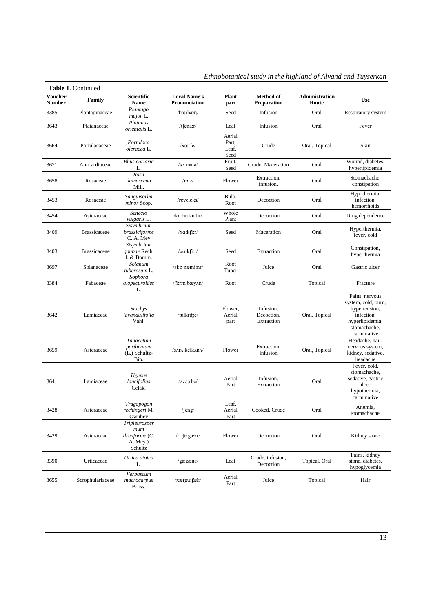| Voucher<br><b>Number</b> | Family              | Scientific<br>Name                                               | <b>Local Name's</b><br>Pronunciation | Plant<br>part                    | <b>Method</b> of<br><b>Preparation</b> | <b>Administration</b><br>Route | <b>Use</b>                                                                                                             |
|--------------------------|---------------------|------------------------------------------------------------------|--------------------------------------|----------------------------------|----------------------------------------|--------------------------------|------------------------------------------------------------------------------------------------------------------------|
| 3385                     | Plantaginaceae      | Plantago<br>major L.                                             | /ba:rhæn/                            | Seed                             | Infusion                               | Oral                           | Respiratory system                                                                                                     |
| 3643                     | Platanaceae         | Platanus<br>orientalis L.                                        | /t $f$ ena:r/                        | Leaf                             | Infusion                               | Oral                           | Fever                                                                                                                  |
| 3664                     | Portulacaceae       | Portulaca<br>oleracea L.                                         | $/xo:$ rfe $/$                       | Aerial<br>Part,<br>Leaf,<br>Seed | Crude                                  | Oral, Topical                  | Skin                                                                                                                   |
| 3671                     | Anacardiaceae       | Rhus coriaria<br>L.                                              | /s <sub>5</sub> :ma:s/               | Fruit,<br>Seed                   | Crude, Maceration                      | Oral                           | Wound, diabetes,<br>hyperlipidemia                                                                                     |
| 3658                     | Rosaceae            | Rosa<br>damascena<br>Mill.                                       | $\pi$ .z/                            | Flower                           | Extraction,<br>infusion,               | Oral                           | Stomachache,<br>constipation                                                                                           |
| 3453                     | Rosaceae            | Sanguisorba<br>minor Scop.                                       | /reveleks/                           | Bulb,<br>Root                    | Decoction                              | Oral                           | Hypothermia,<br>infection,<br>hemorrhoids                                                                              |
| 3454                     | Asteraceae          | Senecio<br><i>vulgaris</i> L.                                    | /ka:hu ku:hr/                        | Whole<br>Plant                   | Decoction                              | Oral                           | Drug dependence                                                                                                        |
| 3409                     | <b>Brassicaceae</b> | Sisymbrium<br>brassiciforme<br>C. A. Mey                         | $/xa:k$ [i:r/                        | Seed                             | Maceration                             | Oral                           | Hyperthermia,<br>fever, cold                                                                                           |
| 3403                     | <b>Brassicaceae</b> | Sisymbrium<br>gaubae Rech.<br>f. & Bornm.                        | $/xa:k$ fi:r/                        | Seed                             | Extraction                             | Oral                           | Constipation,<br>hyperthermia                                                                                          |
| 3697                     | Solanaceae          | Solanum<br>tuberosum L.                                          | /si:b zæmi:nr/                       | Root<br>Tuber                    | Juice                                  | Oral                           | Gastric ulcer                                                                                                          |
| 3384                     | Fabaceae            | Sophora<br>alopecuroides<br>L.                                   | fi:rm bæy^n/                         | Root                             | Crude                                  | Topical                        | Fracture                                                                                                               |
| 3642                     | Lamiaceae           | Stachys<br>lavandulifolia<br>Vahl.                               | /tulkrdze/                           | Flower,<br>Aerial<br>part        | Infusion,<br>Decoction,<br>Extraction  | Oral, Topical                  | Pains, nervous<br>system, cold, burn,<br>hypertension,<br>infection,<br>hyperlipidemia,<br>stomachache,<br>carminative |
| 3659                     | Asteraceae          | Tanacetum<br>parthenium<br>(L.) Schultz-<br>Bip.                 | /sara kelkana/                       | Flower                           | Extraction,<br>Infusion                | Oral, Topical                  | Headache, hair,<br>nervous system,<br>kidney, sedative,<br>headache                                                    |
| 3641                     | Lamiaceae           | <b>Thymus</b><br>lancifolius<br>Celak.                           | $/$ Azo:rbe $/$                      | Aerial<br>Part                   | Infusion,<br>Extraction                | Oral                           | Fever, cold,<br>stomachache,<br>sedative, gastric<br>ulcer,<br>hypothermia,<br>carminative                             |
| 3428                     | Asteraceae          | Tragopogon<br>rechingeri M.<br>Ownbey                            | / $feng/$                            | Leaf,<br>Aerial<br>Part          | Cooked, Crude                          | Oral                           | Anemia,<br>stomachache                                                                                                 |
| 3429                     | Asteraceae          | Tripleurosper<br>$m$ um<br>disciforme (C.<br>A. Mey.)<br>Schultz | $/ri$ : fe gæzn $/$                  | Flower                           | Decoction                              | Oral                           | Kidney stone                                                                                                           |
| 3390                     | Urticaceae          | Urtica dioica<br>L.                                              | /gæzæne/                             | Leaf                             | Crude, infusion,<br>Decoction          | Topical, Oral                  | Pains, kidney<br>stone, diabetes,<br>hypoglycemia                                                                      |
| 3655                     | Scrophulariaceae    | Verbascum<br>macrocarpus<br>Boiss.                               | /xærgu:fæk/                          | Aerial<br>Part                   | Juice                                  | Topical                        | Hair                                                                                                                   |

*Ethnobotanical study in the highland of Alvand and Tuyserkan*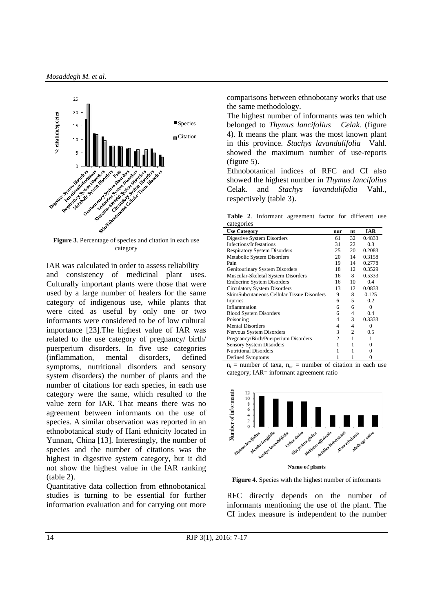

**Figure 3**. Percentage of species and citation in each use category

IAR was calculated in order to assess reliability and consistency of medicinal plant uses. Culturally important plants were those that were used by a large number of healers for the same category of indigenous use, while plants that were cited as useful by only one or two informants were considered to be of low cultural importance [23].The highest value of IAR was related to the use category of pregnancy/ birth/ puerperium disorders. In five use categories (inflammation, mental disorders, defined symptoms, nutritional disorders and sensory system disorders) the number of plants and the number of citations for each species, in each use category were the same, which resulted to the value zero for IAR. That means there was no agreement between informants on the use of species. A similar observation was reported in an ethnobotanical study of Hani ethnicity located in Yunnan, China [13]. Interestingly, the number of species and the number of citations was the highest in digestive system category, but it did not show the highest value in the IAR ranking (table 2).

Quantitative data collection from ethnobotanical studies is turning to be essential for further information evaluation and for carrying out more comparisons between ethnobotany works that use the same methodology.

The highest number of informants was ten which belonged to *Thymus lancifolius Celak.* (figure 4). It means the plant was the most known plant in this province. *Stachys lavandulifolia* Vahl. showed the maximum number of use-reports (figure 5).

Ethnobotanical indices of RFC and CI also showed the highest number in *Thymus lancifolius*  Celak*.* and *Stachys lavandulifolia* Vahl*.,* respectively (table 3).

**Table 2**. Informant agreement factor for different use categories

| $\alpha$ . $\beta$ . $\alpha$               |     |    |            |
|---------------------------------------------|-----|----|------------|
| <b>Use Category</b>                         | nur | nt | <b>IAR</b> |
| Digestive System Disorders                  | 61  | 32 | 0.4833     |
| Infections/Infestations                     | 31  | 22 | 0.3        |
| <b>Respiratory System Disorders</b>         | 25  | 20 | 0.2083     |
| Metabolic System Disorders                  | 20  | 14 | 0.3158     |
| Pain                                        | 19  | 14 | 0.2778     |
| Genitourinary System Disorders              | 18  | 12 | 0.3529     |
| Muscular-Skeletal System Disorders          | 16  | 8  | 0.5333     |
| <b>Endocrine System Disorders</b>           | 16  | 10 | 0.4        |
| <b>Circulatory System Disorders</b>         | 13  | 12 | 0.0833     |
| Skin/Subcutaneous Cellular Tissue Disorders | 9   | 8  | 0.125      |
| Injuries                                    | 6   | 5  | 0.2        |
| Inflammation                                | 6   | 6  | 0          |
| <b>Blood System Disorders</b>               | 6   | 4  | 0.4        |
| Poisoning                                   | 4   | 3  | 0.3333     |
| <b>Mental Disorders</b>                     | 4   | 4  | $\theta$   |
| Nervous System Disorders                    | 3   | 2  | 0.5        |
| Pregnancy/Birth/Puerperium Disorders        | 2   |    |            |
| <b>Sensory System Disorders</b>             |     |    | 0          |
| <b>Nutritional Disorders</b>                |     |    | $\Omega$   |
| Defined Symptoms                            |     |    | 0          |

 $n_t$  = number of taxa,  $n_{\text{ur}}$  = number of citation in each use category; IAR= informant agreement ratio



**Figure 4**. Species with the highest number of informants

RFC directly depends on the number of informants mentioning the use of the plant. The CI index measure is independent to the number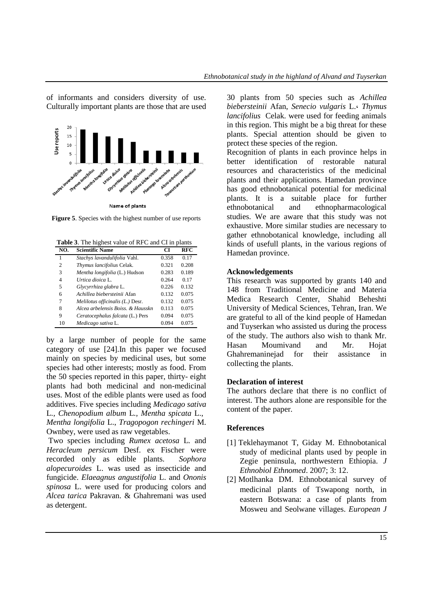of informants and considers diversity of use. Culturally important plants are those that are used



**Figure 5**. Species with the highest number of use reports

**Table 3**. The highest value of RFC and CI in plants

| NO. | <b>Scientific Name</b>            | CI    | <b>RFC</b> |
|-----|-----------------------------------|-------|------------|
| 1   | Stachys lavandulifolia Vahl.      | 0.358 | 0.17       |
| 2   | Thymus lancifolius Celak.         | 0.321 | 0.208      |
| 3   | Mentha longifolia (L.) Hudson     | 0.283 | 0.189      |
| 4   | Urtica dioica L.                  | 0.264 | 0.17       |
| 5   | Glycyrrhiza glabra L.             | 0.226 | 0.132      |
| 6   | Achillea hiebersteinii Afan       | 0.132 | 0.075      |
| 7   | Melilotus officinalis (L.) Desr.  | 0.132 | 0.075      |
| 8   | Alcea arbelensis Boiss. & Hausskn | 0.113 | 0.075      |
| 9   | Ceratocephalus falcata (L.) Pers  | 0.094 | 0.075      |
| 10  | Medicago sativa L.                | 0.094 | 0.075      |

by a large number of people for the same category of use [24].In this paper we focused mainly on species by medicinal uses, but some species had other interests; mostly as food. From the 50 species reported in this paper, thirty- eight plants had both medicinal and non-medicinal uses. Most of the edible plants were used as food additives. Five species including *Medicago sativa*  L*., Chenopodium album* L*., Mentha spicata* L.,

*Mentha longifolia* L., *Tragopogon rechingeri* M. Ownbey, were used as raw vegetables.

Two species including *Rumex acetosa* L*.* and *Heracleum persicum* Desf. ex Fischer were recorded only as edible plants. *Sophora alopecuroides* L. was used as insecticide and fungicide. *Elaeagnus angustifolia* L. and *Ononis spinosa* L. were used for producing colors and *Alcea tarica* Pakravan. & Ghahremani was used as detergent.

30 plants from 50 species such as *Achillea biebersteinii* Afan, *Senecio vulgaris* L.، *Thymus lancifolius* Celak. were used for feeding animals in this region. This might be a big threat for these plants. Special attention should be given to protect these species of the region.

Recognition of plants in each province helps in better identification of restorable natural resources and characteristics of the medicinal plants and their applications. Hamedan province has good ethnobotanical potential for medicinal plants. It is a suitable place for further ethnobotanical and ethnopharmacological studies. We are aware that this study was not exhaustive. More similar studies are necessary to gather ethnobotanical knowledge, including all kinds of usefull plants, in the various regions of Hamedan province.

#### **Acknowledgements**

This research was supported by grants 140 and 148 from Traditional Medicine and Materia Medica Research Center, Shahid Beheshti University of Medical Sciences, Tehran, Iran. We are grateful to all of the kind people of Hamedan and Tuyserkan who assisted us during the process of the study. The authors also wish to thank Mr. Hasan Moumivand and Mr. Hojat Ghahremaninejad for their assistance in collecting the plants.

### **Declaration of interest**

The authors declare that there is no conflict of interest. The authors alone are responsible for the content of the paper.

### **References**

- [1] Teklehaymanot T, Giday M. Ethnobotanical study of medicinal plants used by people in Zegie peninsula, northwestern Ethiopia. *J Ethnobiol Ethnomed*. 2007; 3: 12.
- [2] Motlhanka DM. Ethnobotanical survey of medicinal plants of Tswapong north, in eastern Botswana: a case of plants from Mosweu and Seolwane villages. *European J*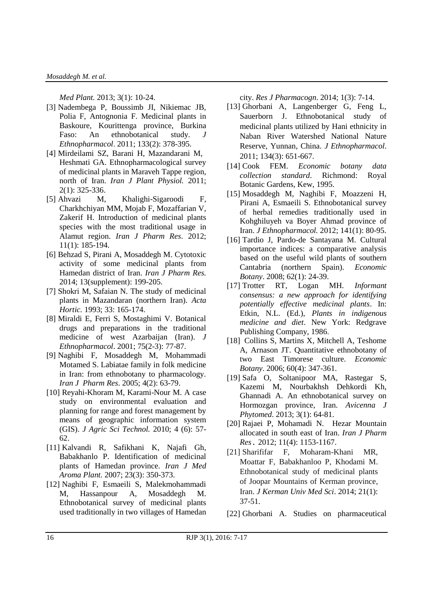*Med Plant.* 2013; 3(1): 10-24.

- [3] Nadembega P, Boussimb JI, Nikiemac JB, Polia F, Antognonia F. Medicinal plants in Baskoure, Kourittenga province, Burkina Faso: An ethnobotanical study. *J Ethnopharmacol*. 2011; 133(2): 378-395.
- [4] Mirdeilami SZ, Barani H, Mazandarani M, Heshmati GA. Ethnopharmacological survey of medicinal plants in Maraveh Tappe region, north of Iran. *Iran J Plant Physiol.* 2011; 2(1): 325-336.
- [5] Ahvazi M, Khalighi-Sigaroodi F, Charkhchiyan MM, Mojab F, Mozaffarian V, Zakerif H. Introduction of medicinal plants species with the most traditional usage in Alamut region. *Iran J Pharm Res*. 2012; 11(1): 185-194.
- [6] Behzad S, Pirani A, Mosaddegh M. Cytotoxic activity of some medicinal plants from Hamedan district of Iran. *Iran J Pharm Res.* 2014; 13(supplement): 199-205.
- [7] Shokri M, Safaian N. The study of medicinal plants in Mazandaran (northern Iran). *Acta Hortic.* 1993; 33: 165-174.
- [8] Miraldi E, Ferri S, Mostaghimi V. Botanical drugs and preparations in the traditional medicine of west Azarbaijan (Iran). *J Ethnopharmacol*. 2001; 75(2-3): 77-87.
- [9] Naghibi F, Mosaddegh M, Mohammadi Motamed S. Labiatae family in folk medicine in Iran: from ethnobotany to pharmacology. *Iran J Pharm Res*. 2005; 4(2): 63-79.
- [10] Reyahi-Khoram M, Karami-Nour M. A case study on environmental evaluation and planning for range and forest management by means of geographic information system (GIS). *J Agric Sci Technol.* 2010; 4 (6): 57- 62.
- [11] Kalvandi R, Safikhani K, Najafi Gh, Babakhanlo P. Identification of medicinal plants of Hamedan province. *Iran J Med Aroma Plant.* 2007; 23(3): 350-373.
- [12] Naghibi F, Esmaeili S, Malekmohammadi M, Hassanpour A, Mosaddegh M. Ethnobotanical survey of medicinal plants used traditionally in two villages of Hamedan

city. *Res J Pharmacogn*. 2014; 1(3): 7-14.

- [13] Ghorbani A, Langenberger G, Feng L, Sauerborn J. Ethnobotanical study of medicinal plants utilized by Hani ethnicity in Naban River Watershed National Nature Reserve, Yunnan, China. *J Ethnopharmacol*. 2011; 134(3): 651-667.
- [14] Cook FEM. *Economic botany data collection standard*. Richmond: Royal Botanic Gardens, Kew, 1995.
- [15] Mosaddegh M, Naghibi F, Moazzeni H, Pirani A, Esmaeili S. Ethnobotanical survey of herbal remedies traditionally used in Kohghiluyeh va Boyer Ahmad province of Iran. *J Ethnopharmacol.* 2012; 141(1): 80-95.
- [16] Tardio J, Pardo-de Santayana M. Cultural importance indices: a comparative analysis based on the useful wild plants of southern Cantabria (northern Spain). *Economic Botany*. 2008; 62(1): 24-39.
- [17] Trotter RT, Logan MH. *Informant consensus: a new approach for identifying potentially effective medicinal plants*. In: Etkin, N.L. (Ed.), *Plants in indigenous medicine and diet*. New York: Redgrave Publishing Company, 1986.
- [18] Collins S, Martins X, Mitchell A, Teshome A, Arnason JT. Quantitative ethnobotany of two East Timorese culture. *Economic Botany*. 2006; 60(4): 347-361.
- [19] Safa O, Soltanipoor MA, Rastegar S, Kazemi M, Nourbakhsh Dehkordi Kh, Ghannadi A. An ethnobotanical survey on Hormozgan province, Iran. *Avicenna J Phytomed*. 2013; 3(1): 64-81.
- [20] Rajaei P, Mohamadi N. Hezar Mountain allocated in south east of Iran. *Iran J Pharm Res***.** 2012; 11(4): 1153-1167.
- [21] Sharififar F, Moharam-Khani MR, Moattar F, Babakhanloo P, Khodami M. Ethnobotanical study of medicinal plants of Joopar Mountains of Kerman province, Iran. *J Kerman Univ Med Sci*. 2014; 21(1): 37-51.
- [22] Ghorbani A. Studies on pharmaceutical